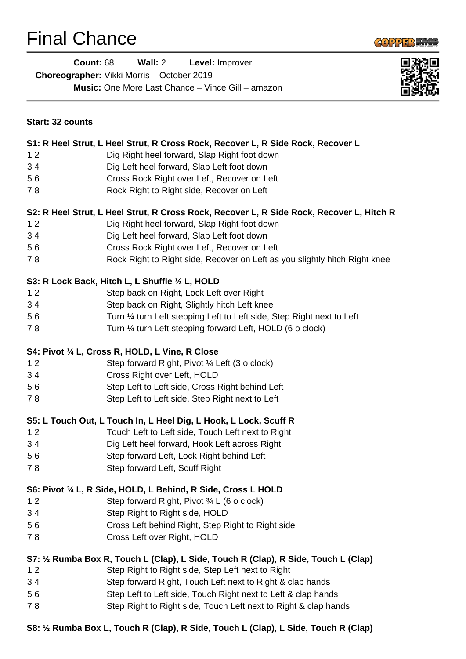# Final Chance



**Count:** 68 **Wall:** 2 **Level:** Improver **Choreographer:** Vikki Morris – October 2019 **Music:** One More Last Chance – Vince Gill – amazon



| Start: 32 counts |                                                                                          |
|------------------|------------------------------------------------------------------------------------------|
|                  | S1: R Heel Strut, L Heel Strut, R Cross Rock, Recover L, R Side Rock, Recover L          |
| 12               | Dig Right heel forward, Slap Right foot down                                             |
| 34               | Dig Left heel forward, Slap Left foot down                                               |
| 56               | Cross Rock Right over Left, Recover on Left                                              |
| 78               | Rock Right to Right side, Recover on Left                                                |
|                  | S2: R Heel Strut, L Heel Strut, R Cross Rock, Recover L, R Side Rock, Recover L, Hitch R |
| 12               | Dig Right heel forward, Slap Right foot down                                             |
| 34               | Dig Left heel forward, Slap Left foot down                                               |
| 56               | Cross Rock Right over Left, Recover on Left                                              |
| 78               | Rock Right to Right side, Recover on Left as you slightly hitch Right knee               |
|                  | S3: R Lock Back, Hitch L, L Shuffle 1/2 L, HOLD                                          |
| 12               | Step back on Right, Lock Left over Right                                                 |
| 34               | Step back on Right, Slightly hitch Left knee                                             |
| 56               | Turn 1/4 turn Left stepping Left to Left side, Step Right next to Left                   |
| 78               | Turn 1/4 turn Left stepping forward Left, HOLD (6 o clock)                               |
|                  | S4: Pivot 1/4 L, Cross R, HOLD, L Vine, R Close                                          |
| 12               | Step forward Right, Pivot 1/4 Left (3 o clock)                                           |
| 34               | Cross Right over Left, HOLD                                                              |
| 56               | Step Left to Left side, Cross Right behind Left                                          |
| 78               | Step Left to Left side, Step Right next to Left                                          |
|                  | S5: L Touch Out, L Touch In, L Heel Dig, L Hook, L Lock, Scuff R                         |
| 12               | Touch Left to Left side, Touch Left next to Right                                        |
| 34               | Dig Left heel forward, Hook Left across Right                                            |
| 56               | Step forward Left, Lock Right behind Left                                                |
| 78               | Step forward Left, Scuff Right                                                           |
|                  | S6: Pivot 3/4 L, R Side, HOLD, L Behind, R Side, Cross L HOLD                            |
| 12               | Step forward Right, Pivot 3/4 L (6 o clock)                                              |
| 34               | Step Right to Right side, HOLD                                                           |
| 56               | Cross Left behind Right, Step Right to Right side                                        |
| 78               | Cross Left over Right, HOLD                                                              |
|                  | S7: 1/2 Rumba Box R, Touch L (Clap), L Side, Touch R (Clap), R Side, Touch L (Clap)      |
| 12               | Step Right to Right side, Step Left next to Right                                        |
| 34               | Step forward Right, Touch Left next to Right & clap hands                                |
| 56               | Step Left to Left side, Touch Right next to Left & clap hands                            |
| 78               | Step Right to Right side, Touch Left next to Right & clap hands                          |
|                  |                                                                                          |

**S8: ½ Rumba Box L, Touch R (Clap), R Side, Touch L (Clap), L Side, Touch R (Clap)**